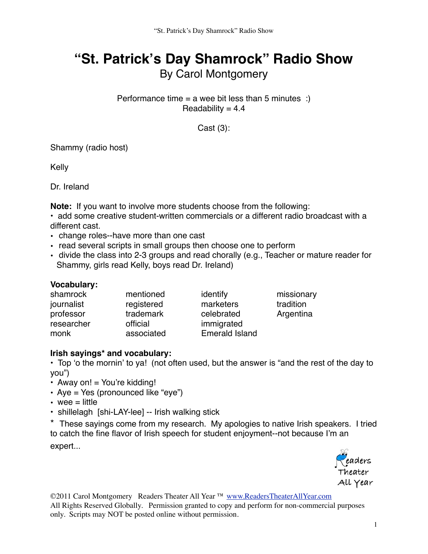# **"St. Patrick's Day Shamrock" Radio Show** By Carol Montgomery

Performance time  $=$  a wee bit less than 5 minutes :) Readability  $= 4.4$ 

Cast (3):

Shammy (radio host)

Kelly

Dr. Ireland

**Note:** If you want to involve more students choose from the following:

• add some creative student-written commercials or a different radio broadcast with a different cast.

- change roles--have more than one cast
- read several scripts in small groups then choose one to perform
- divide the class into 2-3 groups and read chorally (e.g., Teacher or mature reader for Shammy, girls read Kelly, boys read Dr. Ireland)

## **Vocabulary:**

| shamrock   | mentioned  | identify              | missionary |
|------------|------------|-----------------------|------------|
| journalist | registered | marketers             | tradition  |
| professor  | trademark  | celebrated            | Argentina  |
| researcher | official   | immigrated            |            |
| monk       | associated | <b>Emerald Island</b> |            |

## **Irish sayings\* and vocabulary:**

• Top ʻo the mornin' to ya! (not often used, but the answer is "and the rest of the day to you")

- Away on!  $=$  You're kidding!
- Aye = Yes (pronounced like "eye")
- wee  $=$  little
- shillelagh [shi-LAY-lee] -- Irish walking stick

\* These sayings come from my research. My apologies to native Irish speakers. I tried to catch the fine flavor of Irish speech for student enjoyment--not because I'm an expert...

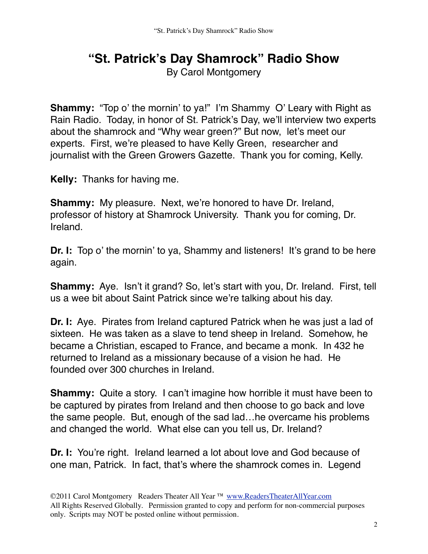## **"St. Patrick's Day Shamrock" Radio Show**

By Carol Montgomery

**Shammy:** "Top o' the mornin' to ya!" I'm Shammy O' Leary with Right as Rain Radio. Today, in honor of St. Patrick's Day, we'll interview two experts about the shamrock and "Why wear green?" But now, let's meet our experts. First, we're pleased to have Kelly Green, researcher and journalist with the Green Growers Gazette. Thank you for coming, Kelly.

**Kelly:** Thanks for having me.

**Shammy:** My pleasure. Next, we're honored to have Dr. Ireland, professor of history at Shamrock University. Thank you for coming, Dr. Ireland.

**Dr. I:** Top o' the mornin' to ya, Shammy and listeners! It's grand to be here again.

**Shammy:** Aye. Isn't it grand? So, let's start with you, Dr. Ireland. First, tell us a wee bit about Saint Patrick since we're talking about his day.

**Dr. I:** Aye. Pirates from Ireland captured Patrick when he was just a lad of sixteen. He was taken as a slave to tend sheep in Ireland. Somehow, he became a Christian, escaped to France, and became a monk. In 432 he returned to Ireland as a missionary because of a vision he had. He founded over 300 churches in Ireland.

**Shammy:** Quite a story. I can't imagine how horrible it must have been to be captured by pirates from Ireland and then choose to go back and love the same people. But, enough of the sad lad…he overcame his problems and changed the world. What else can you tell us, Dr. Ireland?

**Dr. I:** You're right. Ireland learned a lot about love and God because of one man, Patrick. In fact, that's where the shamrock comes in. Legend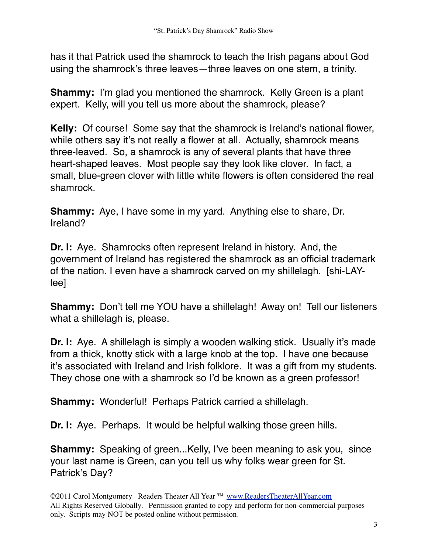has it that Patrick used the shamrock to teach the Irish pagans about God using the shamrock's three leaves—three leaves on one stem, a trinity.

**Shammy:** I'm glad you mentioned the shamrock. Kelly Green is a plant expert. Kelly, will you tell us more about the shamrock, please?

**Kelly:** Of course! Some say that the shamrock is Ireland's national flower, while others say it's not really a flower at all. Actually, shamrock means three-leaved. So, a shamrock is any of several plants that have three heart-shaped leaves. Most people say they look like clover. In fact, a small, blue-green clover with little white flowers is often considered the real shamrock.

**Shammy:** Aye, I have some in my yard. Anything else to share, Dr. Ireland?

**Dr. I:** Aye. Shamrocks often represent Ireland in history. And, the government of Ireland has registered the shamrock as an official trademark of the nation. I even have a shamrock carved on my shillelagh. [shi-LAYlee]

**Shammy:** Don't tell me YOU have a shillelagh! Away on! Tell our listeners what a shillelagh is, please.

**Dr. I:** Aye. A shillelagh is simply a wooden walking stick. Usually it's made from a thick, knotty stick with a large knob at the top. I have one because it's associated with Ireland and Irish folklore. It was a gift from my students. They chose one with a shamrock so I'd be known as a green professor!

**Shammy:** Wonderful! Perhaps Patrick carried a shillelagh.

**Dr. I:** Aye. Perhaps. It would be helpful walking those green hills.

**Shammy:** Speaking of green...Kelly, I've been meaning to ask you, since your last name is Green, can you tell us why folks wear green for St. Patrick's Day?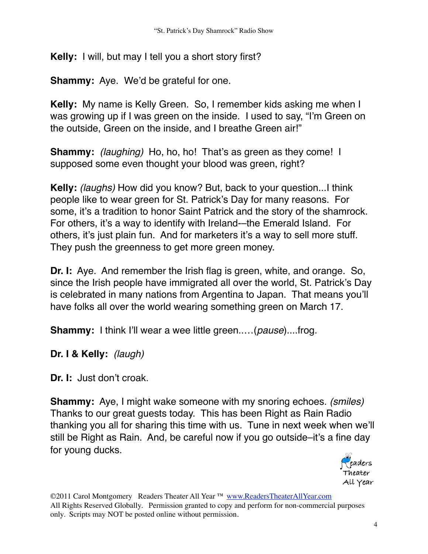**Kelly:** I will, but may I tell you a short story first?

**Shammy:** Aye. We'd be grateful for one.

**Kelly:** My name is Kelly Green. So, I remember kids asking me when I was growing up if I was green on the inside. I used to say, "I'm Green on the outside, Green on the inside, and I breathe Green air!"

**Shammy:** *(laughing)* Ho, ho, ho! That's as green as they come! I supposed some even thought your blood was green, right?

**Kelly:** *(laughs)* How did you know? But, back to your question...I think people like to wear green for St. Patrick's Day for many reasons. For some, it's a tradition to honor Saint Patrick and the story of the shamrock. For others, it's a way to identify with Ireland-–the Emerald Island. For others, it's just plain fun. And for marketers it's a way to sell more stuff. They push the greenness to get more green money.

**Dr. I:** Aye. And remember the Irish flag is green, white, and orange. So, since the Irish people have immigrated all over the world, St. Patrick's Day is celebrated in many nations from Argentina to Japan. That means you'll have folks all over the world wearing something green on March 17.

**Shammy:** I think I'll wear a wee little green..…(*pause*)....frog.

**Dr. I & Kelly:** *(laugh)*

**Dr. I:** Just don't croak.

**Shammy:** Aye, I might wake someone with my snoring echoes. *(smiles)*  Thanks to our great guests today. This has been Right as Rain Radio thanking you all for sharing this time with us. Tune in next week when we'll still be Right as Rain. And, be careful now if you go outside–it's a fine day for young ducks.

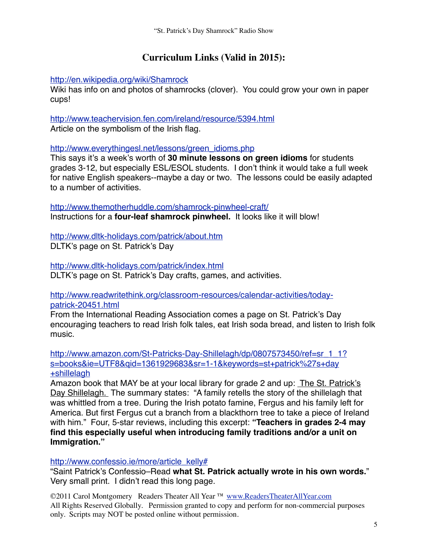## **Curriculum Links (Valid in 2015):**

<http://en.wikipedia.org/wiki/Shamrock>

Wiki has info on and photos of shamrocks (clover). You could grow your own in paper cups!

<http://www.teachervision.fen.com/ireland/resource/5394.html> Article on the symbolism of the Irish flag.

[http://www.everythingesl.net/lessons/green\\_idioms.php](http://www.everythingesl.net/lessons/green_idioms.php)

This says it's a week's worth of **30 minute lessons on green idioms** for students grades 3-12, but especially ESL/ESOL students. I don't think it would take a full week for native English speakers--maybe a day or two. The lessons could be easily adapted to a number of activities.

<http://www.themotherhuddle.com/shamrock-pinwheel-craft/> Instructions for a **four-leaf shamrock pinwheel.** It looks like it will blow!

<http://www.dltk-holidays.com/patrick/about.htm> DLTK's page on St. Patrick's Day

<http://www.dltk-holidays.com/patrick/index.html> DLTK's page on St. Patrick's Day crafts, games, and activities.

[http://www.readwritethink.org/classroom-resources/calendar-activities/today](http://www.readwritethink.org/classroom-resources/calendar-activities/today-patrick-20451.html)[patrick-20451.html](http://www.readwritethink.org/classroom-resources/calendar-activities/today-patrick-20451.html)

From the International Reading Association comes a page on St. Patrick's Day encouraging teachers to read Irish folk tales, eat Irish soda bread, and listen to Irish folk music.

[http://www.amazon.com/St-Patricks-Day-Shillelagh/dp/0807573450/ref=sr\\_1\\_1?](http://www.amazon.com/St-Patricks-Day-Shillelagh/dp/0807573450/ref=sr_1_1?s=books&ie=UTF8&qid=1361929683&sr=1-1&keywords=st+patrick%27s+day+shillelagh) [s=books&ie=UTF8&qid=1361929683&sr=1-1&keywords=st+patrick%27s+day](http://www.amazon.com/St-Patricks-Day-Shillelagh/dp/0807573450/ref=sr_1_1?s=books&ie=UTF8&qid=1361929683&sr=1-1&keywords=st+patrick%27s+day+shillelagh) [+shillelagh](http://www.amazon.com/St-Patricks-Day-Shillelagh/dp/0807573450/ref=sr_1_1?s=books&ie=UTF8&qid=1361929683&sr=1-1&keywords=st+patrick%27s+day+shillelagh)

Amazon book that MAY be at your local library for grade 2 and up: The St. Patrick's Day Shillelagh. The summary states: "A family retells the story of the shillelagh that was whittled from a tree. During the Irish potato famine, Fergus and his family left for America. But first Fergus cut a branch from a blackthorn tree to take a piece of Ireland with him." Four, 5-star reviews, including this excerpt: **"Teachers in grades 2-4 may find this especially useful when introducing family traditions and/or a unit on Immigration."**

[http://www.confessio.ie/more/article\\_kelly#](http://www.confessio.ie/more/article_kelly#)

"Saint Patrick's Confessio–Read **what St. Patrick actually wrote in his own words.**" Very small print. I didn't read this long page.